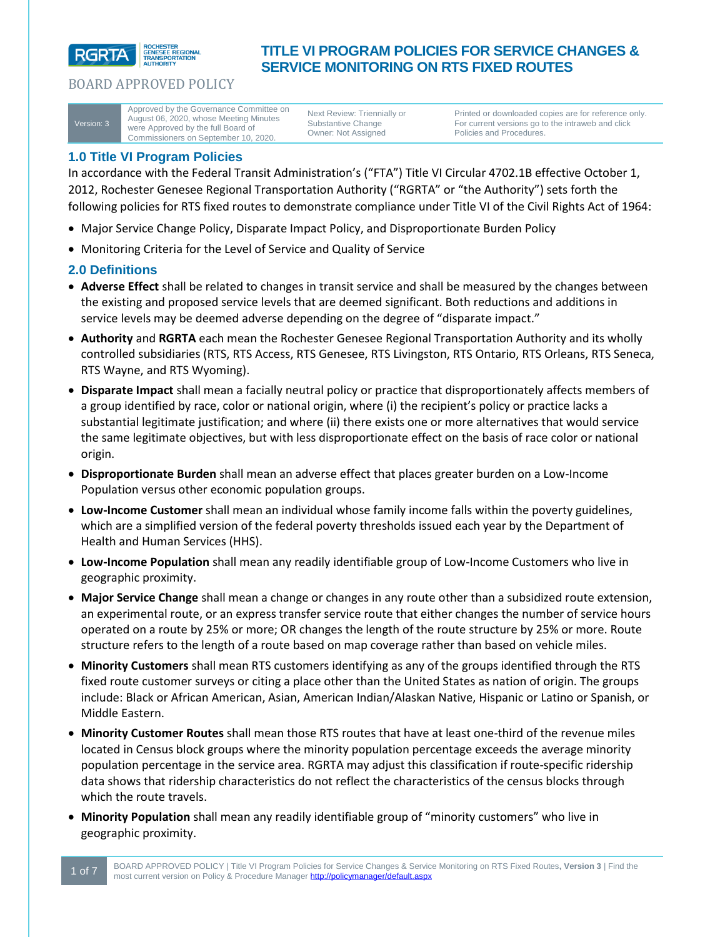

Version: 3

Approved by the Governance Committee on August 06, 2020, whose Meeting Minutes were Approved by the full Board of Commissioners on September 10, 2020.

Next Review: Triennially or Substantive Change Owner: Not Assigned

**TITLE VI PROGRAM POLICIES FOR SERVICE CHANGES &** 

**SERVICE MONITORING ON RTS FIXED ROUTES**

Printed or downloaded copies are for reference only. For current versions go to the intraweb and click Policies and Procedures.

# **1.0 Title VI Program Policies**

In accordance with the Federal Transit Administration's ("FTA") Title VI Circular 4702.1B effective October 1, 2012, Rochester Genesee Regional Transportation Authority ("RGRTA" or "the Authority") sets forth the following policies for RTS fixed routes to demonstrate compliance under Title VI of the Civil Rights Act of 1964:

- Major Service Change Policy, Disparate Impact Policy, and Disproportionate Burden Policy
- Monitoring Criteria for the Level of Service and Quality of Service

## **2.0 Definitions**

- **Adverse Effect** shall be related to changes in transit service and shall be measured by the changes between the existing and proposed service levels that are deemed significant. Both reductions and additions in service levels may be deemed adverse depending on the degree of "disparate impact."
- **Authority** and **RGRTA** each mean the Rochester Genesee Regional Transportation Authority and its wholly controlled subsidiaries (RTS, RTS Access, RTS Genesee, RTS Livingston, RTS Ontario, RTS Orleans, RTS Seneca, RTS Wayne, and RTS Wyoming).
- **Disparate Impact** shall mean a facially neutral policy or practice that disproportionately affects members of a group identified by race, color or national origin, where (i) the recipient's policy or practice lacks a substantial legitimate justification; and where (ii) there exists one or more alternatives that would service the same legitimate objectives, but with less disproportionate effect on the basis of race color or national origin.
- **Disproportionate Burden** shall mean an adverse effect that places greater burden on a Low-Income Population versus other economic population groups.
- **Low-Income Customer** shall mean an individual whose family income falls within the poverty guidelines, which are a simplified version of the federal poverty thresholds issued each year by the Department of Health and Human Services (HHS).
- **Low-Income Population** shall mean any readily identifiable group of Low-Income Customers who live in geographic proximity.
- **Major Service Change** shall mean a change or changes in any route other than a subsidized route extension, an experimental route, or an express transfer service route that either changes the number of service hours operated on a route by 25% or more; OR changes the length of the route structure by 25% or more. Route structure refers to the length of a route based on map coverage rather than based on vehicle miles.
- **Minority Customers** shall mean RTS customers identifying as any of the groups identified through the RTS fixed route customer surveys or citing a place other than the United States as nation of origin. The groups include: Black or African American, Asian, American Indian/Alaskan Native, Hispanic or Latino or Spanish, or Middle Eastern.
- **Minority Customer Routes** shall mean those RTS routes that have at least one-third of the revenue miles located in Census block groups where the minority population percentage exceeds the average minority population percentage in the service area. RGRTA may adjust this classification if route-specific ridership data shows that ridership characteristics do not reflect the characteristics of the census blocks through which the route travels.
- **Minority Population** shall mean any readily identifiable group of "minority customers" who live in geographic proximity.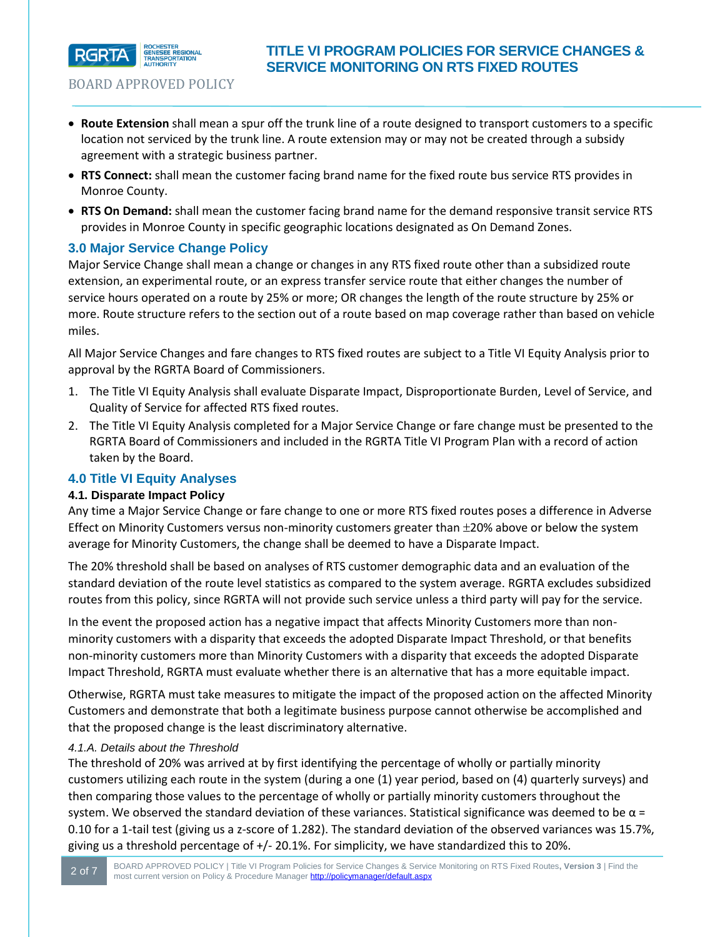

- **Route Extension** shall mean a spur off the trunk line of a route designed to transport customers to a specific location not serviced by the trunk line. A route extension may or may not be created through a subsidy agreement with a strategic business partner.
- **RTS Connect:** shall mean the customer facing brand name for the fixed route bus service RTS provides in Monroe County.
- **RTS On Demand:** shall mean the customer facing brand name for the demand responsive transit service RTS provides in Monroe County in specific geographic locations designated as On Demand Zones.

## **3.0 Major Service Change Policy**

Major Service Change shall mean a change or changes in any RTS fixed route other than a subsidized route extension, an experimental route, or an express transfer service route that either changes the number of service hours operated on a route by 25% or more; OR changes the length of the route structure by 25% or more. Route structure refers to the section out of a route based on map coverage rather than based on vehicle miles.

All Major Service Changes and fare changes to RTS fixed routes are subject to a Title VI Equity Analysis prior to approval by the RGRTA Board of Commissioners.

- 1. The Title VI Equity Analysis shall evaluate Disparate Impact, Disproportionate Burden, Level of Service, and Quality of Service for affected RTS fixed routes.
- 2. The Title VI Equity Analysis completed for a Major Service Change or fare change must be presented to the RGRTA Board of Commissioners and included in the RGRTA Title VI Program Plan with a record of action taken by the Board.

## **4.0 Title VI Equity Analyses**

### **4.1. Disparate Impact Policy**

Any time a Major Service Change or fare change to one or more RTS fixed routes poses a difference in Adverse Effect on Minority Customers versus non-minority customers greater than  $\pm$ 20% above or below the system average for Minority Customers, the change shall be deemed to have a Disparate Impact.

The 20% threshold shall be based on analyses of RTS customer demographic data and an evaluation of the standard deviation of the route level statistics as compared to the system average. RGRTA excludes subsidized routes from this policy, since RGRTA will not provide such service unless a third party will pay for the service.

In the event the proposed action has a negative impact that affects Minority Customers more than nonminority customers with a disparity that exceeds the adopted Disparate Impact Threshold, or that benefits non-minority customers more than Minority Customers with a disparity that exceeds the adopted Disparate Impact Threshold, RGRTA must evaluate whether there is an alternative that has a more equitable impact.

Otherwise, RGRTA must take measures to mitigate the impact of the proposed action on the affected Minority Customers and demonstrate that both a legitimate business purpose cannot otherwise be accomplished and that the proposed change is the least discriminatory alternative.

### *4.1.A. Details about the Threshold*

The threshold of 20% was arrived at by first identifying the percentage of wholly or partially minority customers utilizing each route in the system (during a one (1) year period, based on (4) quarterly surveys) and then comparing those values to the percentage of wholly or partially minority customers throughout the system. We observed the standard deviation of these variances. Statistical significance was deemed to be  $\alpha$  = 0.10 for a 1-tail test (giving us a z-score of 1.282). The standard deviation of the observed variances was 15.7%, giving us a threshold percentage of +/- 20.1%. For simplicity, we have standardized this to 20%.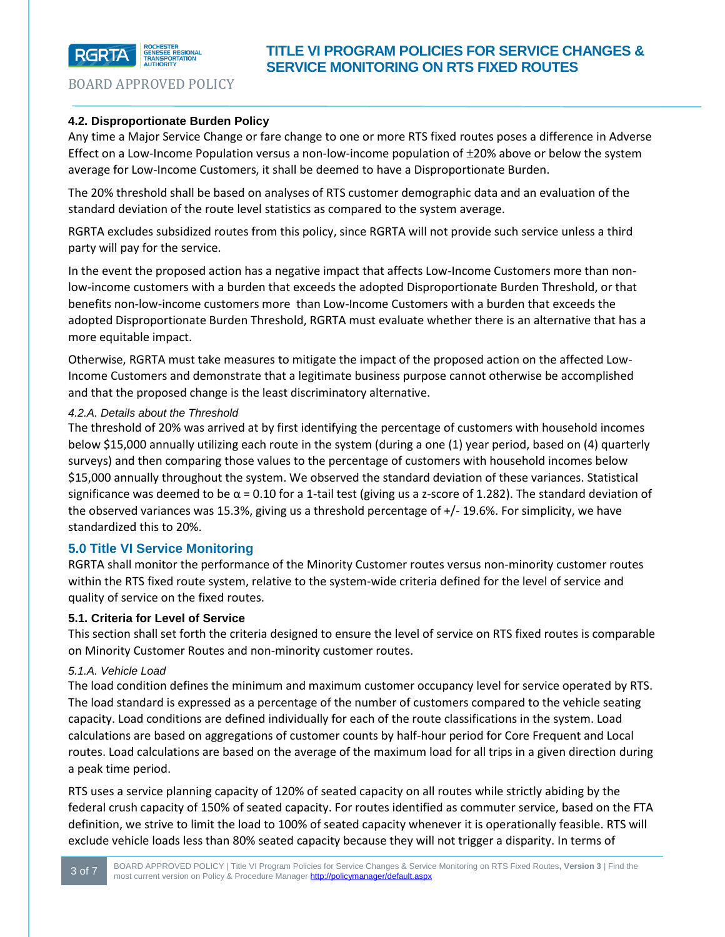

## **4.2. Disproportionate Burden Policy**

Any time a Major Service Change or fare change to one or more RTS fixed routes poses a difference in Adverse Effect on a Low-Income Population versus a non-low-income population of  $\pm$ 20% above or below the system average for Low-Income Customers, it shall be deemed to have a Disproportionate Burden.

The 20% threshold shall be based on analyses of RTS customer demographic data and an evaluation of the standard deviation of the route level statistics as compared to the system average.

RGRTA excludes subsidized routes from this policy, since RGRTA will not provide such service unless a third party will pay for the service.

In the event the proposed action has a negative impact that affects Low-Income Customers more than nonlow-income customers with a burden that exceeds the adopted Disproportionate Burden Threshold, or that benefits non-low-income customers more than Low-Income Customers with a burden that exceeds the adopted Disproportionate Burden Threshold, RGRTA must evaluate whether there is an alternative that has a more equitable impact.

Otherwise, RGRTA must take measures to mitigate the impact of the proposed action on the affected Low-Income Customers and demonstrate that a legitimate business purpose cannot otherwise be accomplished and that the proposed change is the least discriminatory alternative.

## *4.2.A. Details about the Threshold*

The threshold of 20% was arrived at by first identifying the percentage of customers with household incomes below \$15,000 annually utilizing each route in the system (during a one (1) year period, based on (4) quarterly surveys) and then comparing those values to the percentage of customers with household incomes below \$15,000 annually throughout the system. We observed the standard deviation of these variances. Statistical significance was deemed to be  $\alpha$  = 0.10 for a 1-tail test (giving us a z-score of 1.282). The standard deviation of the observed variances was 15.3%, giving us a threshold percentage of +/- 19.6%. For simplicity, we have standardized this to 20%.

## **5.0 Title VI Service Monitoring**

RGRTA shall monitor the performance of the Minority Customer routes versus non-minority customer routes within the RTS fixed route system, relative to the system-wide criteria defined for the level of service and quality of service on the fixed routes.

## **5.1. Criteria for Level of Service**

This section shall set forth the criteria designed to ensure the level of service on RTS fixed routes is comparable on Minority Customer Routes and non-minority customer routes.

## *5.1.A. Vehicle Load*

The load condition defines the minimum and maximum customer occupancy level for service operated by RTS. The load standard is expressed as a percentage of the number of customers compared to the vehicle seating capacity. Load conditions are defined individually for each of the route classifications in the system. Load calculations are based on aggregations of customer counts by half-hour period for Core Frequent and Local routes. Load calculations are based on the average of the maximum load for all trips in a given direction during a peak time period.

RTS uses a service planning capacity of 120% of seated capacity on all routes while strictly abiding by the federal crush capacity of 150% of seated capacity. For routes identified as commuter service, based on the FTA definition, we strive to limit the load to 100% of seated capacity whenever it is operationally feasible. RTS will exclude vehicle loads less than 80% seated capacity because they will not trigger a disparity. In terms of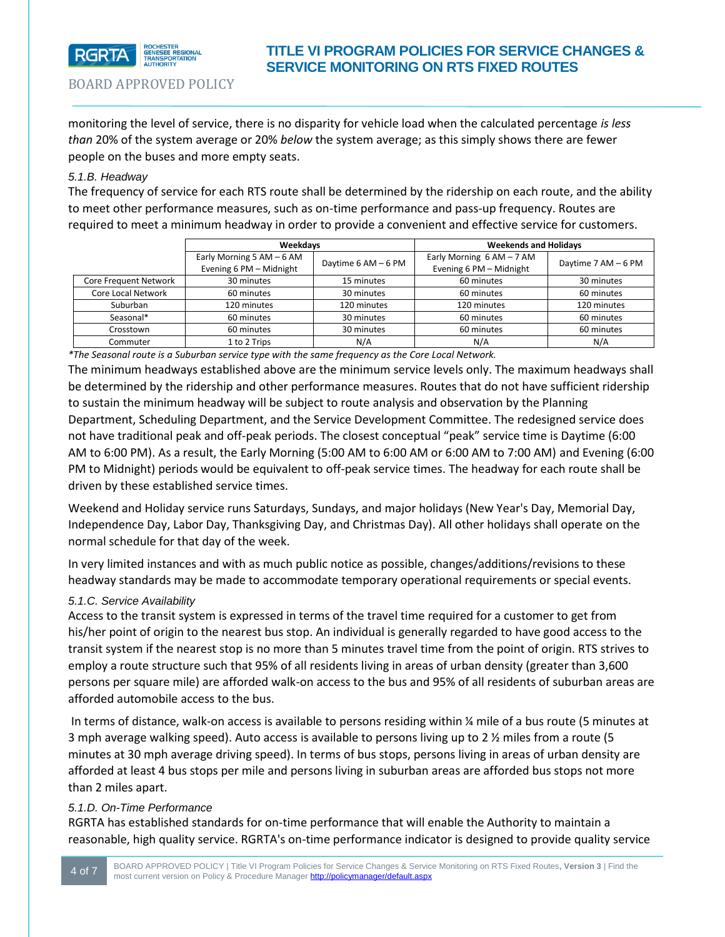

# **TITLE VI PROGRAM POLICIES FOR SERVICE CHANGES & SERVICE MONITORING ON RTS FIXED ROUTES**

BOARD APPROVED POLICY

monitoring the level of service, there is no disparity for vehicle load when the calculated percentage *is less than* 20% of the system average or 20% *below* the system average; as this simply shows there are fewer people on the buses and more empty seats.

## *5.1.B. Headway*

The frequency of service for each RTS route shall be determined by the ridership on each route, and the ability to meet other performance measures, such as on-time performance and pass-up frequency. Routes are required to meet a minimum headway in order to provide a convenient and effective service for customers.

|                           | Weekdavs                                             |                     | <b>Weekends and Holidays</b>                         |                     |
|---------------------------|------------------------------------------------------|---------------------|------------------------------------------------------|---------------------|
|                           | Early Morning 5 AM - 6 AM<br>Evening 6 PM - Midnight | Daytime 6 AM - 6 PM | Early Morning $6AM - 7AM$<br>Evening 6 PM - Midnight | Daytime 7 AM - 6 PM |
| Core Frequent Network     | 30 minutes                                           | 15 minutes          | 60 minutes                                           | 30 minutes          |
| <b>Core Local Network</b> | 60 minutes                                           | 30 minutes          | 60 minutes                                           | 60 minutes          |
| Suburban                  | 120 minutes                                          | 120 minutes         | 120 minutes                                          | 120 minutes         |
| Seasonal*                 | 60 minutes                                           | 30 minutes          | 60 minutes                                           | 60 minutes          |
| Crosstown                 | 60 minutes                                           | 30 minutes          | 60 minutes                                           | 60 minutes          |
| Commuter                  | 1 to 2 Trips                                         | N/A                 | N/A                                                  | N/A                 |

*\*The Seasonal route is a Suburban service type with the same frequency as the Core Local Network.*

The minimum headways established above are the minimum service levels only. The maximum headways shall be determined by the ridership and other performance measures. Routes that do not have sufficient ridership to sustain the minimum headway will be subject to route analysis and observation by the Planning Department, Scheduling Department, and the Service Development Committee. The redesigned service does not have traditional peak and off-peak periods. The closest conceptual "peak" service time is Daytime (6:00 AM to 6:00 PM). As a result, the Early Morning (5:00 AM to 6:00 AM or 6:00 AM to 7:00 AM) and Evening (6:00 PM to Midnight) periods would be equivalent to off-peak service times. The headway for each route shall be driven by these established service times.

Weekend and Holiday service runs Saturdays, Sundays, and major holidays (New Year's Day, Memorial Day, Independence Day, Labor Day, Thanksgiving Day, and Christmas Day). All other holidays shall operate on the normal schedule for that day of the week.

In very limited instances and with as much public notice as possible, changes/additions/revisions to these headway standards may be made to accommodate temporary operational requirements or special events.

### *5.1.C. Service Availability*

Access to the transit system is expressed in terms of the travel time required for a customer to get from his/her point of origin to the nearest bus stop. An individual is generally regarded to have good access to the transit system if the nearest stop is no more than 5 minutes travel time from the point of origin. RTS strives to employ a route structure such that 95% of all residents living in areas of urban density (greater than 3,600 persons per square mile) are afforded walk-on access to the bus and 95% of all residents of suburban areas are afforded automobile access to the bus.

In terms of distance, walk-on access is available to persons residing within % mile of a bus route (5 minutes at 3 mph average walking speed). Auto access is available to persons living up to 2 ½ miles from a route (5 minutes at 30 mph average driving speed). In terms of bus stops, persons living in areas of urban density are afforded at least 4 bus stops per mile and persons living in suburban areas are afforded bus stops not more than 2 miles apart.

### *5.1.D. On-Time Performance*

RGRTA has established standards for on-time performance that will enable the Authority to maintain a reasonable, high quality service. RGRTA's on-time performance indicator is designed to provide quality service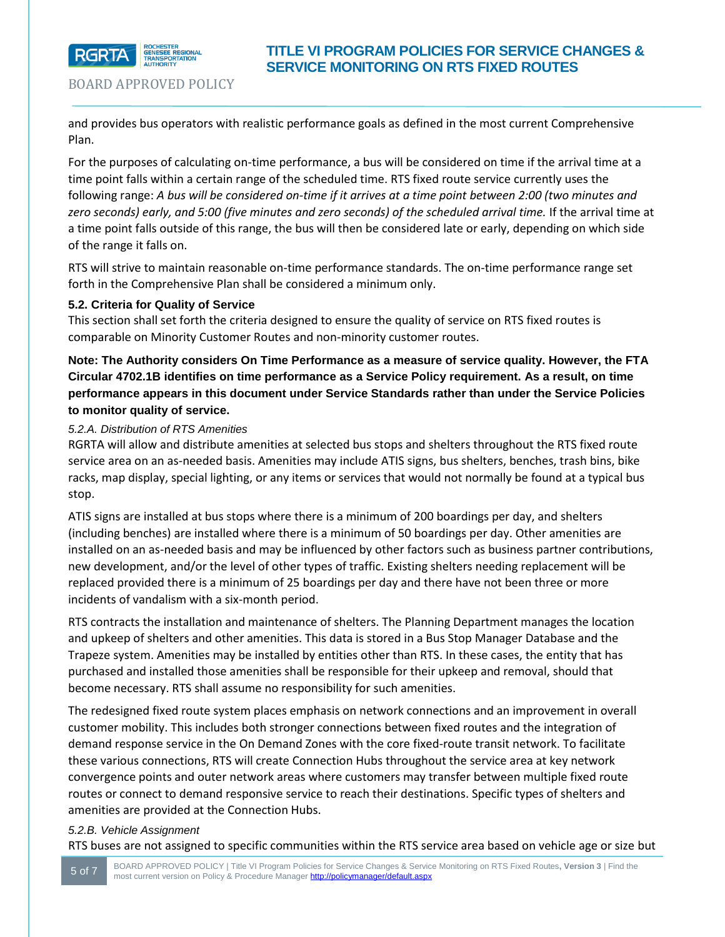

and provides bus operators with realistic performance goals as defined in the most current Comprehensive Plan.

For the purposes of calculating on-time performance, a bus will be considered on time if the arrival time at a time point falls within a certain range of the scheduled time. RTS fixed route service currently uses the following range: *A bus will be considered on-time if it arrives at a time point between 2:00 (two minutes and zero seconds) early, and 5:00 (five minutes and zero seconds) of the scheduled arrival time.* If the arrival time at a time point falls outside of this range, the bus will then be considered late or early, depending on which side of the range it falls on.

RTS will strive to maintain reasonable on-time performance standards. The on-time performance range set forth in the Comprehensive Plan shall be considered a minimum only.

## **5.2. Criteria for Quality of Service**

This section shall set forth the criteria designed to ensure the quality of service on RTS fixed routes is comparable on Minority Customer Routes and non-minority customer routes.

**Note: The Authority considers On Time Performance as a measure of service quality. However, the FTA Circular 4702.1B identifies on time performance as a Service Policy requirement. As a result, on time performance appears in this document under Service Standards rather than under the Service Policies to monitor quality of service.** 

## *5.2.A. Distribution of RTS Amenities*

RGRTA will allow and distribute amenities at selected bus stops and shelters throughout the RTS fixed route service area on an as-needed basis. Amenities may include ATIS signs, bus shelters, benches, trash bins, bike racks, map display, special lighting, or any items or services that would not normally be found at a typical bus stop.

ATIS signs are installed at bus stops where there is a minimum of 200 boardings per day, and shelters (including benches) are installed where there is a minimum of 50 boardings per day. Other amenities are installed on an as-needed basis and may be influenced by other factors such as business partner contributions, new development, and/or the level of other types of traffic. Existing shelters needing replacement will be replaced provided there is a minimum of 25 boardings per day and there have not been three or more incidents of vandalism with a six-month period.

RTS contracts the installation and maintenance of shelters. The Planning Department manages the location and upkeep of shelters and other amenities. This data is stored in a Bus Stop Manager Database and the Trapeze system. Amenities may be installed by entities other than RTS. In these cases, the entity that has purchased and installed those amenities shall be responsible for their upkeep and removal, should that become necessary. RTS shall assume no responsibility for such amenities.

The redesigned fixed route system places emphasis on network connections and an improvement in overall customer mobility. This includes both stronger connections between fixed routes and the integration of demand response service in the On Demand Zones with the core fixed-route transit network. To facilitate these various connections, RTS will create Connection Hubs throughout the service area at key network convergence points and outer network areas where customers may transfer between multiple fixed route routes or connect to demand responsive service to reach their destinations. Specific types of shelters and amenities are provided at the Connection Hubs.

## *5.2.B. Vehicle Assignment*

RTS buses are not assigned to specific communities within the RTS service area based on vehicle age or size but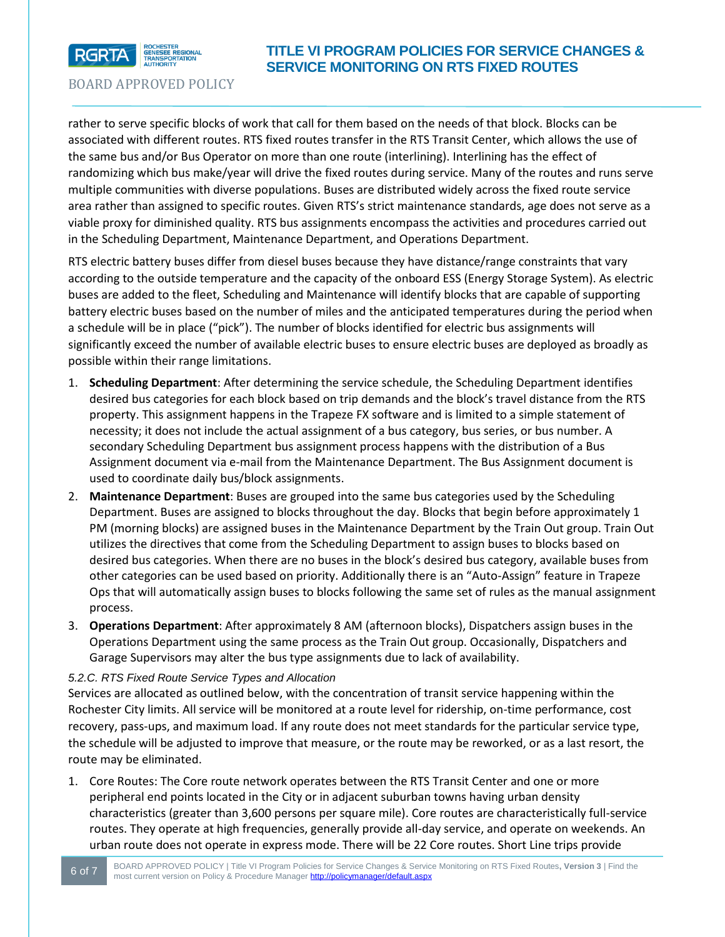

# **TITLE VI PROGRAM POLICIES FOR SERVICE CHANGES & SERVICE MONITORING ON RTS FIXED ROUTES**

BOARD APPROVED POLICY

rather to serve specific blocks of work that call for them based on the needs of that block. Blocks can be associated with different routes. RTS fixed routes transfer in the RTS Transit Center, which allows the use of the same bus and/or Bus Operator on more than one route (interlining). Interlining has the effect of randomizing which bus make/year will drive the fixed routes during service. Many of the routes and runs serve multiple communities with diverse populations. Buses are distributed widely across the fixed route service area rather than assigned to specific routes. Given RTS's strict maintenance standards, age does not serve as a viable proxy for diminished quality. RTS bus assignments encompass the activities and procedures carried out in the Scheduling Department, Maintenance Department, and Operations Department.

RTS electric battery buses differ from diesel buses because they have distance/range constraints that vary according to the outside temperature and the capacity of the onboard ESS (Energy Storage System). As electric buses are added to the fleet, Scheduling and Maintenance will identify blocks that are capable of supporting battery electric buses based on the number of miles and the anticipated temperatures during the period when a schedule will be in place ("pick"). The number of blocks identified for electric bus assignments will significantly exceed the number of available electric buses to ensure electric buses are deployed as broadly as possible within their range limitations.

- 1. **Scheduling Department**: After determining the service schedule, the Scheduling Department identifies desired bus categories for each block based on trip demands and the block's travel distance from the RTS property. This assignment happens in the Trapeze FX software and is limited to a simple statement of necessity; it does not include the actual assignment of a bus category, bus series, or bus number. A secondary Scheduling Department bus assignment process happens with the distribution of a Bus Assignment document via e-mail from the Maintenance Department. The Bus Assignment document is used to coordinate daily bus/block assignments.
- 2. **Maintenance Department**: Buses are grouped into the same bus categories used by the Scheduling Department. Buses are assigned to blocks throughout the day. Blocks that begin before approximately 1 PM (morning blocks) are assigned buses in the Maintenance Department by the Train Out group. Train Out utilizes the directives that come from the Scheduling Department to assign buses to blocks based on desired bus categories. When there are no buses in the block's desired bus category, available buses from other categories can be used based on priority. Additionally there is an "Auto-Assign" feature in Trapeze Ops that will automatically assign buses to blocks following the same set of rules as the manual assignment process.
- 3. **Operations Department**: After approximately 8 AM (afternoon blocks), Dispatchers assign buses in the Operations Department using the same process as the Train Out group. Occasionally, Dispatchers and Garage Supervisors may alter the bus type assignments due to lack of availability.

## *5.2.C. RTS Fixed Route Service Types and Allocation*

Services are allocated as outlined below, with the concentration of transit service happening within the Rochester City limits. All service will be monitored at a route level for ridership, on-time performance, cost recovery, pass-ups, and maximum load. If any route does not meet standards for the particular service type, the schedule will be adjusted to improve that measure, or the route may be reworked, or as a last resort, the route may be eliminated.

1. Core Routes: The Core route network operates between the RTS Transit Center and one or more peripheral end points located in the City or in adjacent suburban towns having urban density characteristics (greater than 3,600 persons per square mile). Core routes are characteristically full-service routes. They operate at high frequencies, generally provide all-day service, and operate on weekends. An urban route does not operate in express mode. There will be 22 Core routes. Short Line trips provide